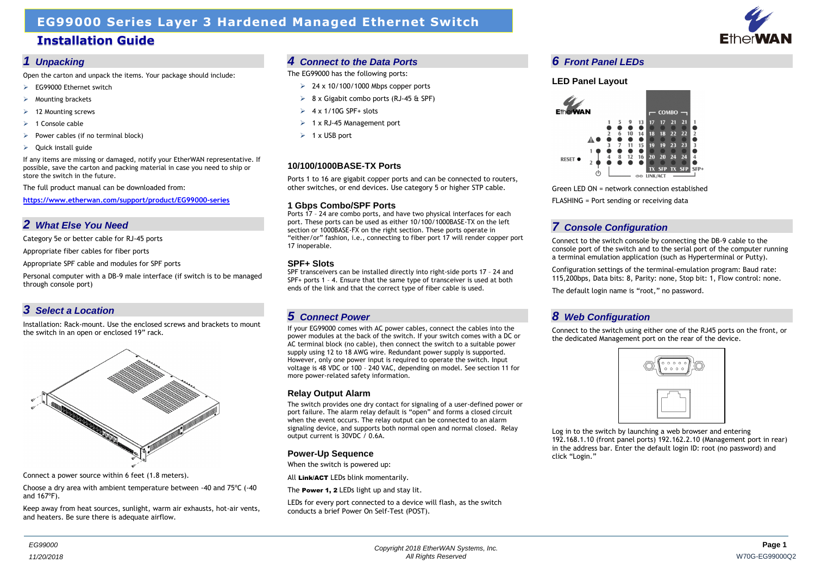



## **EG99000 Series Layer 3 Hardened Managed Ethernet Switch**

## **Installation Guide**

#### *1 Unpacking*

Open the carton and unpack the items. Your package should include:

- EG99000 Ethernet switch
- Mounting brackets
- $\geq$  12 Mounting screws
- 1 Console cable
- Power cables (if no terminal block)
- $\triangleright$  Ouick install guide

If any items are missing or damaged, notify your EtherWAN representative. If possible, save the carton and packing material in case you need to ship or store the switch in the future.

The full product manual can be downloaded from:

**[https://www.etherwan.com/support/product/EG99000-series](https://www.etherwan.com/support/product/eG99000-series)**

## *2 What Else You Need*

Category 5e or better cable for RJ-45 ports

Appropriate fiber cables for fiber ports

Appropriate SPF cable and modules for SPF ports

Personal computer with a DB-9 male interface (if switch is to be managed through console port)

## *3 Select a Location*

Installation: Rack-mount. Use the enclosed screws and brackets to mount the switch in an open or enclosed 19" rack.



Connect a power source within 6 feet (1.8 meters).

Choose a dry area with ambient temperature between -40 and 75ºC (-40 and 167ºF).

Keep away from heat sources, sunlight, warm air exhausts, hot-air vents, and heaters. Be sure there is adequate airflow.

### *4 Connect to the Data Ports*

The EG99000 has the following ports:

- $\geq$  24 x 10/100/1000 Mbps copper ports
- $\geq$  8 x Gigabit combo ports (RJ-45 & SPF)
- $\geq 4 \times 1/10$ G SPF+ slots
- $\geq 1$  x RJ-45 Management port
- $\geq 1$  x USB port

### **10/100/1000BASE-TX Ports**

Ports 1 to 16 are gigabit copper ports and can be connected to routers, other switches, or end devices. Use category 5 or higher STP cable.

#### **1 Gbps Combo/SPF Ports**

Ports 17 – 24 are combo ports, and have two physical interfaces for each port. These ports can be used as either 10/100/1000BASE-TX on the left section or 1000BASE-FX on the right section. These ports operate in "either/or" fashion, i.e., connecting to fiber port 17 will render copper port 17 inoperable.

#### **SPF+ Slots**

SPF transceivers can be installed directly into right-side ports 17 – 24 and SPF+ ports 1 – 4. Ensure that the same type of transceiver is used at both ends of the link and that the correct type of fiber cable is used.

## *5 Connect Power*

If your EG99000 comes with AC power cables, connect the cables into the power modules at the back of the switch. If your switch comes with a DC or AC terminal block (no cable), then connect the switch to a suitable power supply using 12 to 18 AWG wire. Redundant power supply is supported. However, only one power input is required to operate the switch. Input voltage is 48 VDC or 100 – 240 VAC, depending on model. See section 11 for more power-related safety information.

#### **Relay Output Alarm**

The switch provides one dry contact for signaling of a user-defined power or port failure. The alarm relay default is "open" and forms a closed circuit when the event occurs. The relay output can be connected to an alarm signaling device, and supports both normal open and normal closed. Relay output current is 30VDC / 0.6A.

#### **Power-Up Sequence**

When the switch is powered up:

All Link/ACT LEDs blink momentarily.

The **Power 1, 2** LEDs light up and stay lit.

LEDs for every port connected to a device will flash, as the switch conducts a brief Power On Self-Test (POST).

### *6 Front Panel LEDs*

#### **LED Panel Layout**



Green LED ON = network connection established FLASHING = Port sending or receiving data

## *7 Console Configuration*

Connect to the switch console by connecting the DB-9 cable to the console port of the switch and to the serial port of the computer running a terminal emulation application (such as Hyperterminal or Putty).

Configuration settings of the terminal-emulation program: Baud rate: 115,200bps, Data bits: 8, Parity: none, Stop bit: 1, Flow control: none.

The default login name is "root," no password.

## *8 Web Configuration*

Connect to the switch using either one of the RJ45 ports on the front, or the dedicated Management port on the rear of the device.

Log in to the switch by launching a web browser and entering 192.168.1.10 (front panel ports) 192.162.2.10 (Management port in rear) in the address bar. Enter the default login ID: root (no password) and

click "Login."